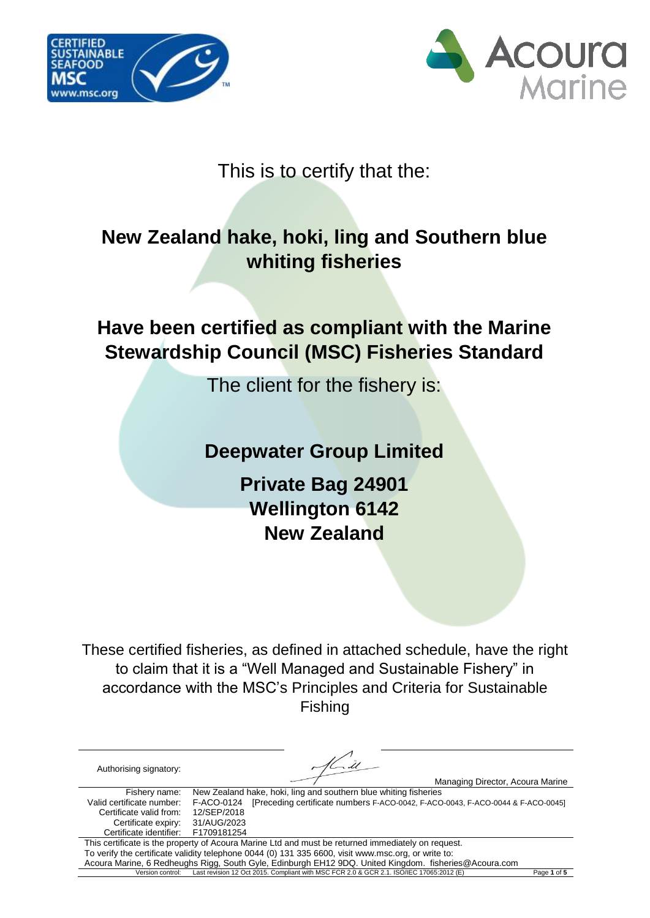



### This is to certify that the:

# **New Zealand hake, hoki, ling and Southern blue whiting fisheries**

# **Have been certified as compliant with the Marine Stewardship Council (MSC) Fisheries Standard**

The client for the fishery is:

### **Deepwater Group Limited**

**Private Bag 24901 Wellington 6142 New Zealand**

These certified fisheries, as defined in attached schedule, have the right to claim that it is a "Well Managed and Sustainable Fishery" in accordance with the MSC's Principles and Criteria for Sustainable Fishing

| Authorising signatory:    |             | Managing Director, Acoura Marine                                                                      |             |
|---------------------------|-------------|-------------------------------------------------------------------------------------------------------|-------------|
| Fishery name:             |             | New Zealand hake, hoki, ling and southern blue whiting fisheries                                      |             |
| Valid certificate number: | F-ACO-0124  | [Preceding certificate numbers F-ACO-0042, F-ACO-0043, F-ACO-0044 & F-ACO-0045]                       |             |
| Certificate valid from:   | 12/SEP/2018 |                                                                                                       |             |
| Certificate expiry:       | 31/AUG/2023 |                                                                                                       |             |
| Certificate identifier:   | F1709181254 |                                                                                                       |             |
|                           |             | This certificate is the property of Acoura Marine Ltd and must be returned immediately on request.    |             |
|                           |             | To verify the certificate validity telephone 0044 (0) 131 335 6600, visit www.msc.org, or write to:   |             |
|                           |             | Acoura Marine, 6 Redheughs Rigg, South Gyle, Edinburgh EH12 9DQ. United Kingdom. fisheries@Acoura.com |             |
| Version control:          |             | Last revision 12 Oct 2015. Compliant with MSC FCR 2.0 & GCR 2.1. ISO/IEC 17065:2012 (E)               | Page 1 of 5 |
|                           |             |                                                                                                       |             |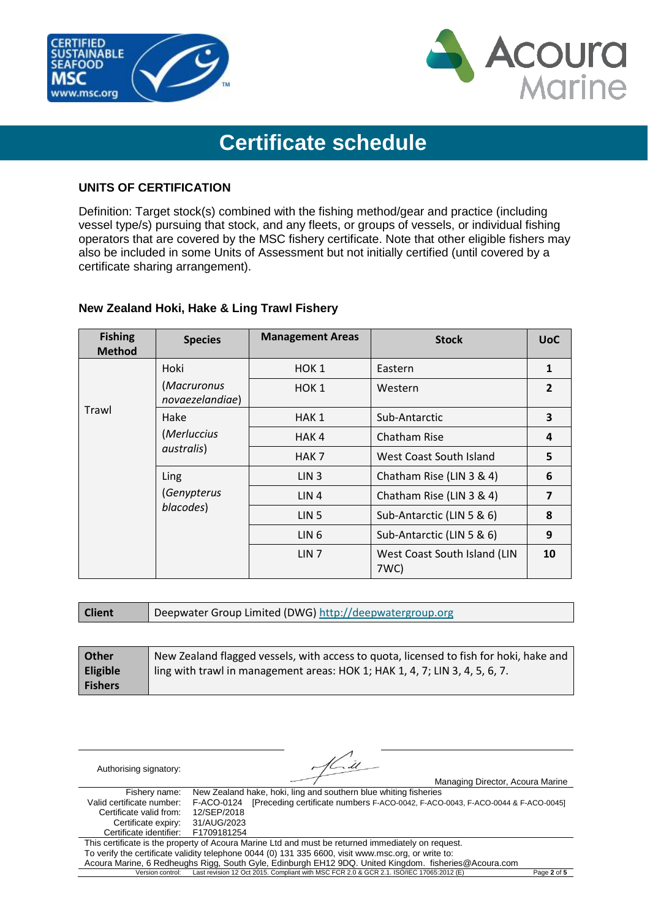



# **Certificate schedule**

#### **UNITS OF CERTIFICATION**

Definition: Target stock(s) combined with the fishing method/gear and practice (including vessel type/s) pursuing that stock, and any fleets, or groups of vessels, or individual fishing operators that are covered by the MSC fishery certificate. Note that other eligible fishers may also be included in some Units of Assessment but not initially certified (until covered by a certificate sharing arrangement).

| <b>Fishing</b><br><b>Method</b> | <b>Species</b>                 | <b>Management Areas</b> | <b>Stock</b>                         | <b>UoC</b>     |
|---------------------------------|--------------------------------|-------------------------|--------------------------------------|----------------|
|                                 | Hoki                           | HOK <sub>1</sub>        | Eastern                              | 1              |
| Trawl                           | (Macruronus<br>novaezelandiae) | HOK <sub>1</sub>        | Western                              | $\overline{2}$ |
|                                 | Hake                           | HAK 1                   | Sub-Antarctic                        | 3              |
|                                 | (Merluccius<br>australis)      | HAK <sub>4</sub>        | Chatham Rise                         | 4              |
|                                 |                                | HAK 7                   | West Coast South Island              | 5              |
|                                 | Ling                           | LIN <sub>3</sub>        | Chatham Rise (LIN 3 & 4)             | 6              |
|                                 | (Genypterus<br>blacodes)       | LIN <sub>4</sub>        | Chatham Rise (LIN 3 & 4)             | 7              |
|                                 |                                | LIN <sub>5</sub>        | Sub-Antarctic (LIN 5 & 6)            | 8              |
|                                 |                                | LIN <sub>6</sub>        | Sub-Antarctic (LIN 5 & 6)            | 9              |
|                                 |                                | LIN <sub>7</sub>        | West Coast South Island (LIN<br>7WC) | 10             |

#### **New Zealand Hoki, Hake & Ling Trawl Fishery**

**Client** | Deepwater Group Limited (DWG[\) http://deepwatergroup.org](http://deepwatergroup.org/)

| Other           | New Zealand flagged vessels, with access to quota, licensed to fish for hoki, hake and |
|-----------------|----------------------------------------------------------------------------------------|
| <b>Eligible</b> | ling with trawl in management areas: HOK 1; HAK 1, 4, 7; LIN 3, 4, 5, 6, 7.            |
| <b>Fishers</b>  |                                                                                        |

| Authorising signatory:    | Managing Director, Acoura Marine                                                                      |             |
|---------------------------|-------------------------------------------------------------------------------------------------------|-------------|
| Fishery name:             | New Zealand hake, hoki, ling and southern blue whiting fisheries                                      |             |
| Valid certificate number: | [Preceding certificate numbers F-ACO-0042, F-ACO-0043, F-ACO-0044 & F-ACO-0045]<br>F-ACO-0124         |             |
| Certificate valid from:   | 12/SEP/2018                                                                                           |             |
| Certificate expiry:       | 31/AUG/2023                                                                                           |             |
| Certificate identifier:   | F1709181254                                                                                           |             |
|                           | This certificate is the property of Acoura Marine Ltd and must be returned immediately on request.    |             |
|                           | To verify the certificate validity telephone 0044 (0) 131 335 6600, visit www.msc.org, or write to:   |             |
|                           | Acoura Marine, 6 Redheughs Rigg, South Gyle, Edinburgh EH12 9DQ. United Kingdom. fisheries@Acoura.com |             |
| Version control:          | Last revision 12 Oct 2015. Compliant with MSC FCR 2.0 & GCR 2.1. ISO/IEC 17065:2012 (E)               | Page 2 of 5 |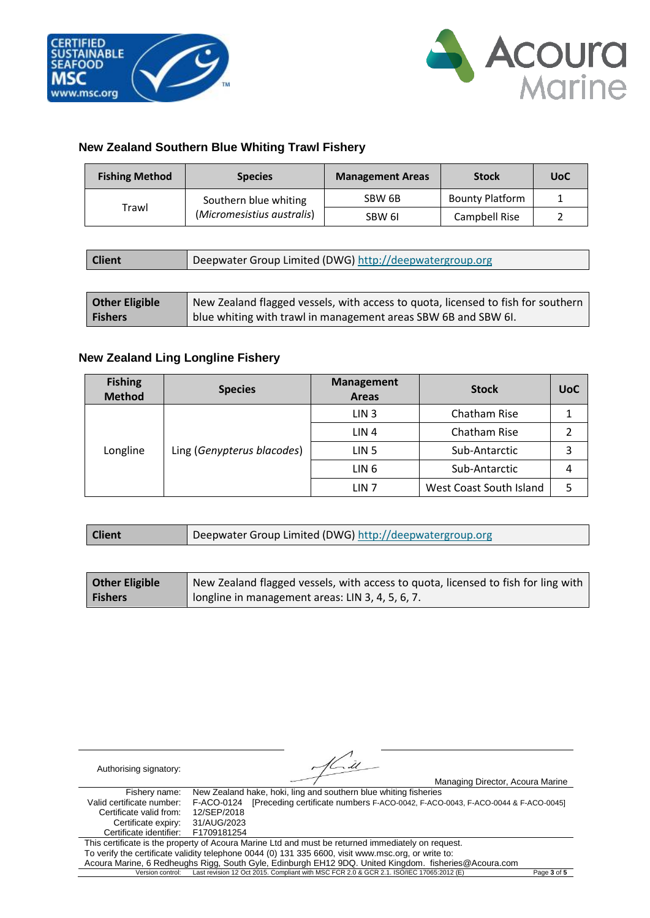

#### **New Zealand Southern Blue Whiting Trawl Fishery**

| <b>Fishing Method</b> | <b>Species</b>             | <b>Management Areas</b> | <b>Stock</b>           | <b>UoC</b> |
|-----------------------|----------------------------|-------------------------|------------------------|------------|
| Trawl                 | Southern blue whiting      | SBW 6B                  | <b>Bounty Platform</b> |            |
|                       | (Micromesistius australis) | SBW 6I                  | Campbell Rise          |            |

| <b>Client</b> |  | Deepwater Group Limited (DWG) http://deepwatergroup.org |
|---------------|--|---------------------------------------------------------|
|---------------|--|---------------------------------------------------------|

| <b>Other Eligible</b> | New Zealand flagged vessels, with access to quota, licensed to fish for southern |
|-----------------------|----------------------------------------------------------------------------------|
| <b>Fishers</b>        | blue whiting with trawl in management areas SBW 6B and SBW 6I.                   |

#### **New Zealand Ling Longline Fishery**

| <b>Fishing</b><br><b>Method</b> | <b>Species</b>             | <b>Management</b><br><b>Areas</b> | <b>Stock</b>            | <b>UoC</b> |
|---------------------------------|----------------------------|-----------------------------------|-------------------------|------------|
| Longline                        | Ling (Genypterus blacodes) | LIN <sub>3</sub>                  | Chatham Rise            |            |
|                                 |                            | LIN <sub>4</sub>                  | Chatham Rise            |            |
|                                 |                            | LIN <sub>5</sub>                  | Sub-Antarctic           |            |
|                                 |                            | LIN <sub>6</sub>                  | Sub-Antarctic           | 4          |
|                                 |                            | LIN <sub>7</sub>                  | West Coast South Island |            |

| <b>Client</b> | Deepwater Group Limited (DWG) http://deepwatergroup.org |
|---------------|---------------------------------------------------------|
|---------------|---------------------------------------------------------|

| <b>Other Eligible</b> | New Zealand flagged vessels, with access to quota, licensed to fish for ling with |
|-----------------------|-----------------------------------------------------------------------------------|
| <b>Fishers</b>        | longline in management areas: LIN 3, 4, 5, 6, 7.                                  |

| Authorising signatory:    |             | $\sim$ $\mu$                                                                                          |             |
|---------------------------|-------------|-------------------------------------------------------------------------------------------------------|-------------|
|                           |             | Managing Director, Acoura Marine                                                                      |             |
| Fishery name:             |             | New Zealand hake, hoki, ling and southern blue whiting fisheries                                      |             |
| Valid certificate number: | F-ACO-0124  | [Preceding certificate numbers F-ACO-0042, F-ACO-0043, F-ACO-0044 & F-ACO-0045]                       |             |
| Certificate valid from:   | 12/SEP/2018 |                                                                                                       |             |
| Certificate expiry:       | 31/AUG/2023 |                                                                                                       |             |
| Certificate identifier:   | F1709181254 |                                                                                                       |             |
|                           |             | This certificate is the property of Acoura Marine Ltd and must be returned immediately on request.    |             |
|                           |             | To verify the certificate validity telephone 0044 (0) 131 335 6600, visit www.msc.org, or write to:   |             |
|                           |             | Acoura Marine, 6 Redheughs Rigg, South Gyle, Edinburgh EH12 9DQ. United Kingdom. fisheries@Acoura.com |             |
| Version control:          |             | Last revision 12 Oct 2015. Compliant with MSC FCR 2.0 & GCR 2.1. ISO/IEC 17065:2012 (E)               | Page 3 of 5 |
|                           |             |                                                                                                       |             |

 $\mathbb{Z}$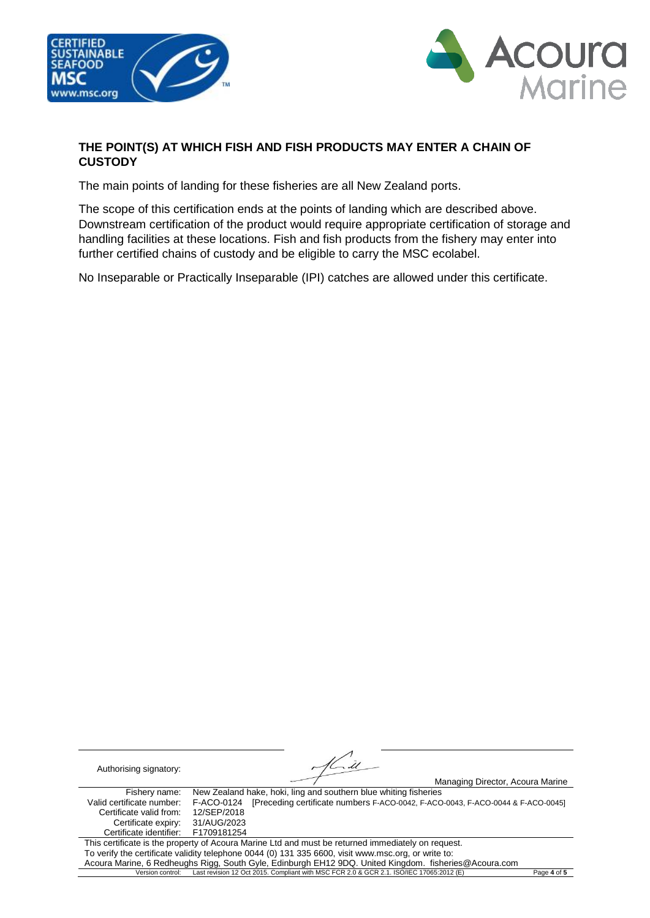



#### **THE POINT(S) AT WHICH FISH AND FISH PRODUCTS MAY ENTER A CHAIN OF CUSTODY**

The main points of landing for these fisheries are all New Zealand ports.

The scope of this certification ends at the points of landing which are described above. Downstream certification of the product would require appropriate certification of storage and handling facilities at these locations. Fish and fish products from the fishery may enter into further certified chains of custody and be eligible to carry the MSC ecolabel.

No Inseparable or Practically Inseparable (IPI) catches are allowed under this certificate.

Authorising signatory: Managing Director, Acoura Marine Fishery name: New Zealand hake, hoki, ling and southern blue whiting fisheries<br>Valid certificate number: F-ACO-0124 [Preceding certificate numbers F-ACO-0042. F-ACO F-ACO-0124 [Preceding certificate numbers F-ACO-0042, F-ACO-0043, F-ACO-0044 & F-ACO-0045]<br>12/SEP/2018 Certificate valid from: Certificate expiry: 31/AUG/2023<br>ertificate identifier: F1709181254 Certificate identifier: This certificate is the property of Acoura Marine Ltd and must be returned immediately on request. To verify the certificate validity telephone 0044 (0) 131 335 6600, visit www.msc.org, or write to: Acoura Marine, 6 Redheughs Rigg, South Gyle, Edinburgh EH12 9DQ. United Kingdom. fisheries@Acoura.com<br>Version control: Last revision 12 Oct 2015. Compliant with MSC FCR 2.0 & GCR 2.1. ISO/IEC 17065-2012 (E) Version control: Last revision 12 Oct 2015. Compliant with MSC FCR 2.0 & GCR 2.1. ISO/IEC 17065:2012 (E) Page **4** of **5**